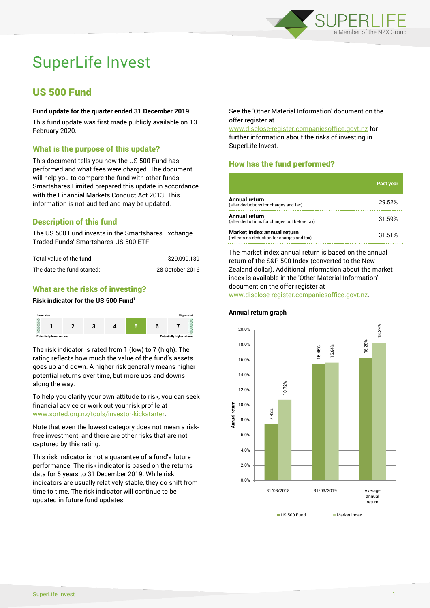

# SuperLife Invest

# US 500 Fund

#### **Fund update for the quarter ended 31 December 2019**

This fund update was first made publicly available on 13 February 2020.

#### What is the purpose of this update?

This document tells you how the US 500 Fund has performed and what fees were charged. The document will help you to compare the fund with other funds. Smartshares Limited prepared this update in accordance with the Financial Markets Conduct Act 2013. This information is not audited and may be updated.

## Description of this fund

The US 500 Fund invests in the Smartshares Exchange Traded Funds' Smartshares US 500 ETF.

| Total value of the fund:   | \$29.099.139    |
|----------------------------|-----------------|
| The date the fund started: | 28 October 2016 |

#### What are the risks of investing?

#### **Risk indicator for the US 500 Fund<sup>1</sup>**



The risk indicator is rated from 1 (low) to 7 (high). The rating reflects how much the value of the fund's assets goes up and down. A higher risk generally means higher potential returns over time, but more ups and downs along the way.

To help you clarify your own attitude to risk, you can seek financial advice or work out your risk profile at [www.sorted.org.nz/tools/investor-kickstarter.](http://www.sorted.org.nz/tools/investor-kickstarter)

Note that even the lowest category does not mean a riskfree investment, and there are other risks that are not captured by this rating.

This risk indicator is not a guarantee of a fund's future performance. The risk indicator is based on the returns data for 5 years to 31 December 2019. While risk indicators are usually relatively stable, they do shift from time to time. The risk indicator will continue to be updated in future fund updates.

See the 'Other Material Information' document on the offer register at

www.disclose-register.companiesoffice.govt.nz for further information about the risks of investing in SuperLife Invest.

# How has the fund performed?

|                                                                           | <b>Past year</b> |
|---------------------------------------------------------------------------|------------------|
| Annual return<br>(after deductions for charges and tax)                   | 29.52%           |
| Annual return<br>(after deductions for charges but before tax)            | 31.59%           |
| Market index annual return<br>(reflects no deduction for charges and tax) | 31.51%           |

The market index annual return is based on the annual return of the S&P 500 Index (converted to the New Zealand dollar). Additional information about the market index is available in the 'Other Material Information' document on the offer register at

www.disclose-register.companiesoffice.govt.nz.



#### **Annual return graph**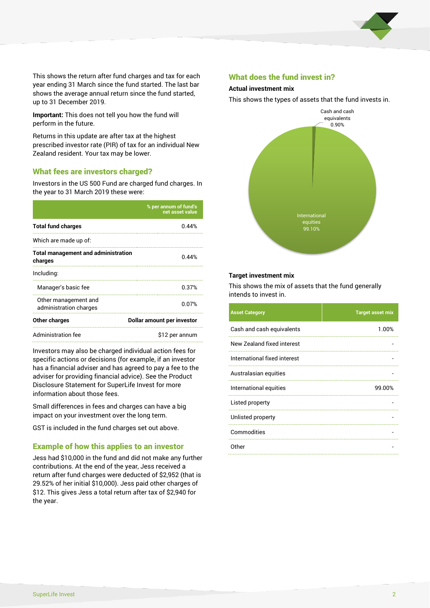

This shows the return after fund charges and tax for each year ending 31 March since the fund started. The last bar shows the average annual return since the fund started, up to 31 December 2019.

**Important:** This does not tell you how the fund will perform in the future.

Returns in this update are after tax at the highest prescribed investor rate (PIR) of tax for an individual New Zealand resident. Your tax may be lower.

#### What fees are investors charged?

Investors in the US 500 Fund are charged fund charges. In the year to 31 March 2019 these were:

|                                                       | % per annum of fund's<br>net asset value |  |
|-------------------------------------------------------|------------------------------------------|--|
| <b>Total fund charges</b>                             | 0.44%                                    |  |
| Which are made up of:                                 |                                          |  |
| <b>Total management and administration</b><br>charges | 0.44%                                    |  |
| Including:                                            |                                          |  |
| Manager's basic fee                                   | 0.37%                                    |  |
| Other management and<br>administration charges        | 0.07%                                    |  |
| Other charges                                         | Dollar amount per investor               |  |
| Administration fee                                    | \$12 per annum                           |  |

Investors may also be charged individual action fees for specific actions or decisions (for example, if an investor has a financial adviser and has agreed to pay a fee to the adviser for providing financial advice). See the Product Disclosure Statement for SuperLife Invest for more information about those fees.

Small differences in fees and charges can have a big impact on your investment over the long term.

GST is included in the fund charges set out above.

#### Example of how this applies to an investor

Jess had \$10,000 in the fund and did not make any further contributions. At the end of the year, Jess received a return after fund charges were deducted of \$2,952 (that is 29.52% of her initial \$10,000). Jess paid other charges of \$12. This gives Jess a total return after tax of \$2,940 for the year.

#### What does the fund invest in?

#### **Actual investment mix**

This shows the types of assets that the fund invests in.



#### **Target investment mix**

This shows the mix of assets that the fund generally intends to invest in.

| <b>Asset Category</b>        | <b>Target asset mix</b> |
|------------------------------|-------------------------|
| Cash and cash equivalents    | 1.00%                   |
| New Zealand fixed interest   |                         |
| International fixed interest |                         |
| Australasian equities        |                         |
| International equities       | 99.00%                  |
| Listed property              |                         |
| Unlisted property            |                         |
| Commodities                  |                         |
| Other                        |                         |